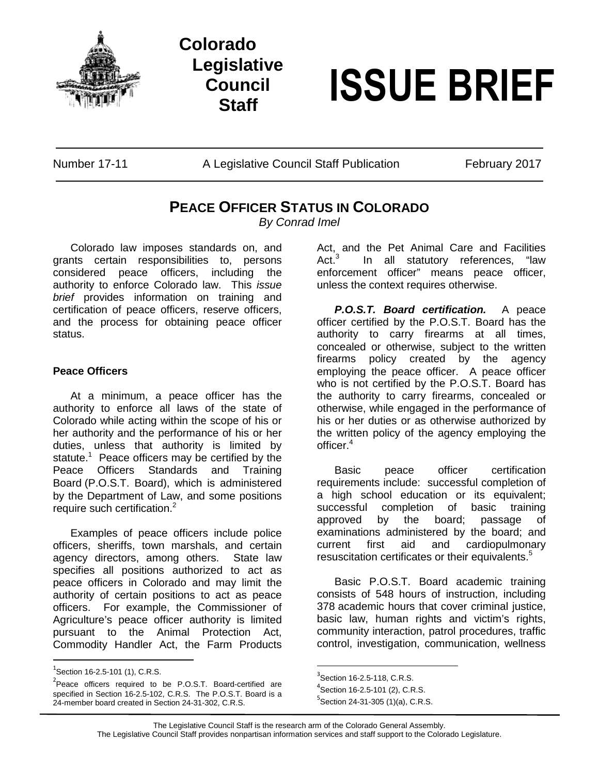

## **Colorado Legislative Council**



Number 17-11 A Legislative Council Staff Publication February 2017

## **PEACE OFFICER STATUS IN COLORADO**

*By Conrad Imel*

Colorado law imposes standards on, and grants certain responsibilities to, persons considered peace officers, including the authority to enforce Colorado law. This *issue brief* provides information on training and certification of peace officers, reserve officers, and the process for obtaining peace officer status.

## **Peace Officers**

At a minimum, a peace officer has the authority to enforce all laws of the state of Colorado while acting within the scope of his or her authority and the performance of his or her duties, unless that authority is limited by statute.<sup>1</sup> Peace officers may be certified by the Peace Officers Standards and Training Board (P.O.S.T. Board), which is administered by the Department of Law, and some positions require such certification.<sup>2</sup>

Examples of peace officers include police officers, sheriffs, town marshals, and certain agency directors, among others. State law specifies all positions authorized to act as peace officers in Colorado and may limit the authority of certain positions to act as peace officers. For example, the Commissioner of Agriculture's peace officer authority is limited pursuant to the Animal Protection Act, Commodity Handler Act, the Farm Products

Act, and the Pet Animal Care and Facilities Act. $3$ In all statutory references, "law enforcement officer" means peace officer, unless the context requires otherwise.

*P.O.S.T. Board certification.* A peace officer certified by the P.O.S.T. Board has the authority to carry firearms at all times, concealed or otherwise, subject to the written firearms policy created by the agency employing the peace officer. A peace officer who is not certified by the P.O.S.T. Board has the authority to carry firearms, concealed or otherwise, while engaged in the performance of his or her duties or as otherwise authorized by the written policy of the agency employing the officer.<sup>4</sup>

Basic peace officer certification requirements include: successful completion of a high school education or its equivalent; successful completion of basic training approved by the board; passage of examinations administered by the board; and current first aid and cardiopulmonary resuscitation certificates or their equivalents.<sup>5</sup>

Basic P.O.S.T. Board academic training consists of 548 hours of instruction, including 378 academic hours that cover criminal justice, basic law, human rights and victim's rights, community interaction, patrol procedures, traffic control, investigation, communication, wellness

 $^{1}$ Section 16-2.5-101 (1), C.R.S.

<sup>&</sup>lt;sup>2</sup> Peace officers required to be P.O.S.T. Board-certified are specified in Section 16-2.5-102, C.R.S. The P.O.S.T. Board is a 24-member board created in Section 24-31-302, C.R.S.

 $3$ Section 16-2.5-118, C.R.S.

 $4$ Section 16-2.5-101 (2), C.R.S.

 $5$ Section 24-31-305 (1)(a), C.R.S.